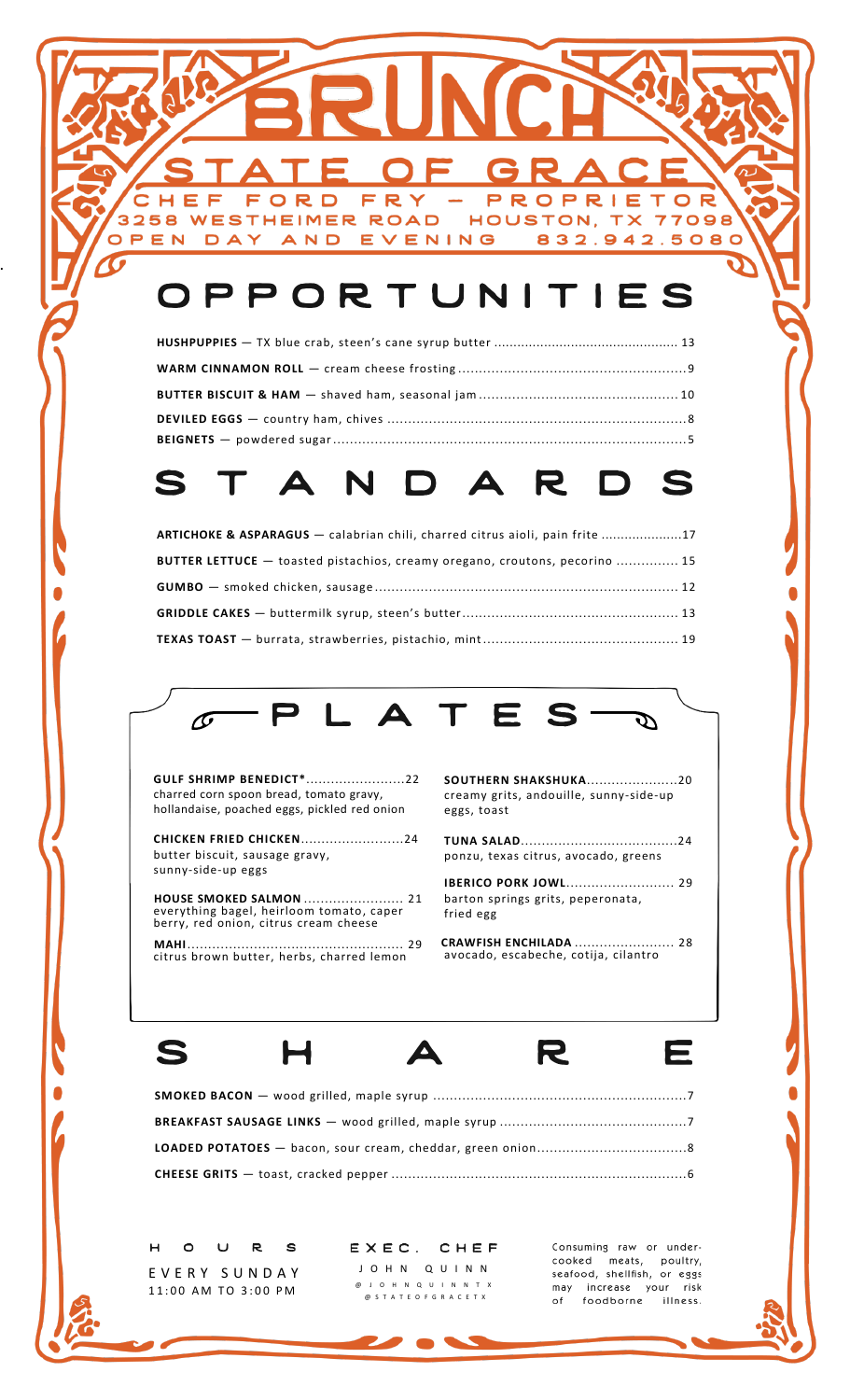## OPPORTUNITIES

EVENING

FRY

D

R

**WESTHEIMER ROAD** 

**AND** 

F

DAY

3258

OPEN

F  $\Omega$ 

## S  $\blacktriangle$ R.

| ARTICHOKE & ASPARAGUS — calabrian chili, charred citrus aioli, pain frite 17       |  |
|------------------------------------------------------------------------------------|--|
| <b>BUTTER LETTUCE</b> — toasted pistachios, creamy oregano, croutons, pecorino  15 |  |
|                                                                                    |  |
|                                                                                    |  |
|                                                                                    |  |



**GULF SHRIMP BENEDICT\***........................22 charred corn spoon bread, tomato gravy, hollandaise, poached eggs, pickled red onion

.

**CHICKEN FRIED CHICKEN**.........................24 butter biscuit, sausage gravy, sunny-side-up eggs

 **HOUSE SMOKED SALMON** ........................ 21 everything bagel, heirloom tomato, caper berry, red onion, citrus cream cheese

 **MAHI** .................................................... 29 citrus brown butter, herbs, charred lemon

**SOUTHERN SHAKSHUKA**......................20 creamy grits, andouille, sunny-side-up eggs, toast

PROPRI

HOUSTON, TX

E

832.942.5080

 $\top$  $\overline{O}$ 

77098

**TUNA SALAD**......................................24 ponzu, texas citrus, avocado, greens

**IBERICO PORK JOWL**.......................... 29 barton springs grits, peperonata, fried egg

 **CRAWFISH ENCHILADA** ........................ 28 avocado, escabeche, cotija, cilantro





Ε

 $H$  $\circ$  $\cup$ R S E V E R Y S U N D A Y 11:00 AM TO 3:00 PM

 $EXEC.$ CHEF J O H N Q U I N N @ J O H N Q U I N N T X @ S T A T E O F G R A C E T X

Consuming raw or undercooked meats, poultry, seafood, shellfish, or eggs may increase your risk of foodborne illness.